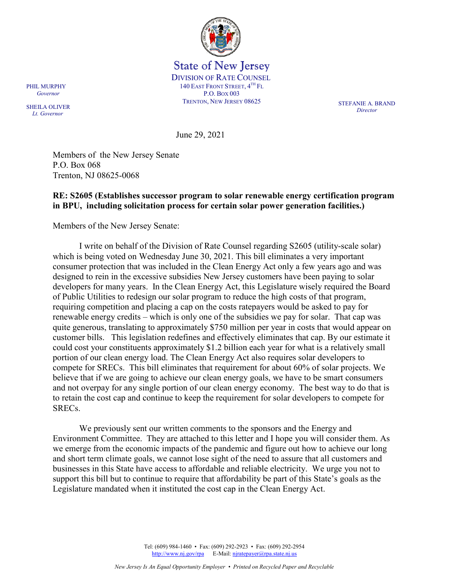

State of New Jersey DIVISION OF RATE COUNSEL 140 EAST FRONT STREET, 4TH FL P.O. BOX 003 TRENTON, NEW JERSEY 08625 STEFANIE A. BRAND

*Director*

June 29, 2021

Members of the New Jersey Senate P.O. Box 068 Trenton, NJ 08625-0068

## **RE: S2605 (Establishes successor program to solar renewable energy certification program in BPU, including solicitation process for certain solar power generation facilities.)**

Members of the New Jersey Senate:

I write on behalf of the Division of Rate Counsel regarding S2605 (utility-scale solar) which is being voted on Wednesday June 30, 2021. This bill eliminates a very important consumer protection that was included in the Clean Energy Act only a few years ago and was designed to rein in the excessive subsidies New Jersey customers have been paying to solar developers for many years. In the Clean Energy Act, this Legislature wisely required the Board of Public Utilities to redesign our solar program to reduce the high costs of that program, requiring competition and placing a cap on the costs ratepayers would be asked to pay for renewable energy credits – which is only one of the subsidies we pay for solar. That cap was quite generous, translating to approximately \$750 million per year in costs that would appear on customer bills. This legislation redefines and effectively eliminates that cap. By our estimate it could cost your constituents approximately \$1.2 billion each year for what is a relatively small portion of our clean energy load. The Clean Energy Act also requires solar developers to compete for SRECs. This bill eliminates that requirement for about 60% of solar projects. We believe that if we are going to achieve our clean energy goals, we have to be smart consumers and not overpay for any single portion of our clean energy economy. The best way to do that is to retain the cost cap and continue to keep the requirement for solar developers to compete for SRECs.

We previously sent our written comments to the sponsors and the Energy and Environment Committee. They are attached to this letter and I hope you will consider them. As we emerge from the economic impacts of the pandemic and figure out how to achieve our long and short term climate goals, we cannot lose sight of the need to assure that all customers and businesses in this State have access to affordable and reliable electricity. We urge you not to support this bill but to continue to require that affordability be part of this State's goals as the Legislature mandated when it instituted the cost cap in the Clean Energy Act.

> Tel: (609) 984-1460 • Fax: (609) 292-2923 • Fax: (609) 292-2954 [http://www.nj.gov/rpa](http://www.state.nj.us/publicadvocate/utility) E-Mail[: njratepayer@rpa.state.nj.us](mailto:njratepayer@rpa.state.nj.us)

PHIL MURPHY  *Governor*

SHEILA OLIVER  *Lt. Governor*